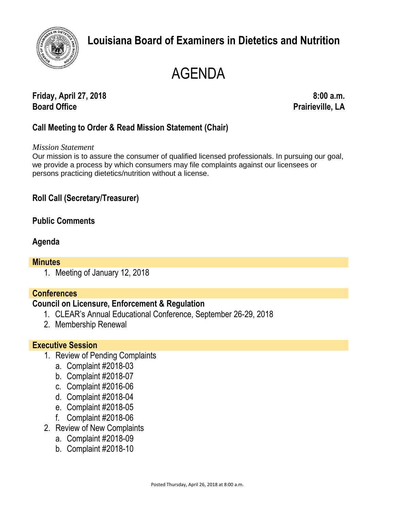

# **Louisiana Board of Examiners in Dietetics and Nutrition**

# AGENDA

**Friday, April 27, 2018 8:00 a.m. Board Office Prairieville, LA**

# **Call Meeting to Order & Read Mission Statement (Chair)**

#### *Mission Statement*

Our mission is to assure the consumer of qualified licensed professionals. In pursuing our goal, we provide a process by which consumers may file complaints against our licensees or persons practicing dietetics/nutrition without a license.

# **Roll Call (Secretary/Treasurer)**

# **Public Comments**

# **Agenda**

#### **Minutes**

1. Meeting of January 12, 2018

# **Conferences**

#### **Council on Licensure, Enforcement & Regulation**

- 1. CLEAR's Annual Educational Conference, September 26-29, 2018
- 2. Membership Renewal

#### **Executive Session**

- 1. Review of Pending Complaints
	- a. Complaint #2018-03
	- b. Complaint #2018-07
	- c. Complaint #2016-06
	- d. Complaint #2018-04
	- e. Complaint #2018-05
	- f. Complaint #2018-06
- 2. Review of New Complaints
	- a. Complaint #2018-09
	- b. Complaint #2018-10